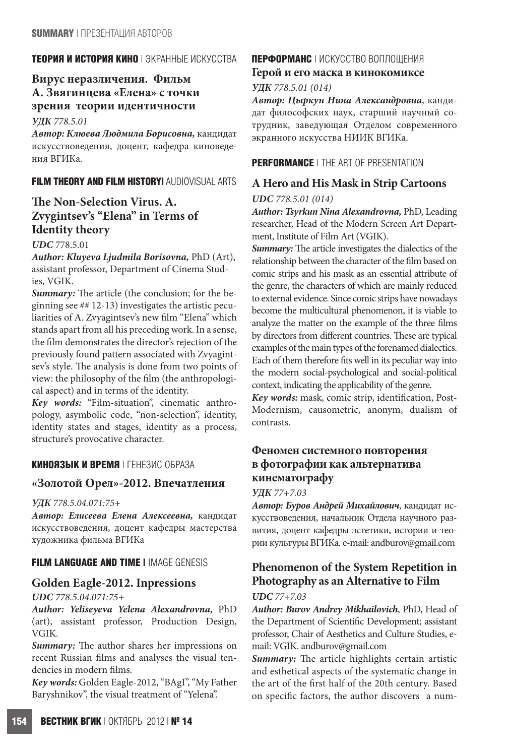## **ТЕОРИЯ И ИСТОРИЯ КИНО** | ЭКРАННЫЕ ИСКУССТВА

# **Вирус неразличения. Фильм А. Звягинцева «Елена» с точки зрения теории идентичности**

*УДК 778.5.01*

*Автор: Клюева Людмила Борисовна,* кандидат искусствоведения, доцент, кафедра киноведения ВГИКа.

## **FILM THEORY AND FILM HISTORY|** AUDIOVISUAL ARTS

# **The Non-Selection Virus. A. Zvygintsev's "Elena" in Terms of Identity theory**

#### *UDC* 778.5.01

*Author: Kluyeva Ljudmila Borisovna,* PhD (Art), assistant professor, Department of Cinema Studies, VGIK.

*Summary:* The article (the conclusion; for the beginning see ## 12-13) investigates the artistic peculiarities of A. Zvyagintsev's new film "Elena" which stands apart from all his preceding work. In a sense, the film demonstrates the director's rejection of the previously found pattern associated with Zvyagintsev's style. The analysis is done from two points of view: the philosophy of the film (the anthropological aspect) and in terms of the identity.

*Key words:* "Film-situation", cinematic anthropology, asymbolic code, "non-selection", identity, identity states and stages, identity as a process, structure's provocative character.

## **КИНОЯЗЫК И ВРЕМЯ** | ГЕНЕЗИС ОБРАЗА

## **«Золотой Орел»-2012. Впечатления**

#### *УДК 778.5.04.071:75+*

*Автор: Елисеева Елена Алексеевна,* кандидат искусствоведения, доцент кафедры мастерства художника фильма ВГИКа

## **FILM LANGUAGE AND TIME |** IMAGE GENESIS

# **Golden Eagle-2012. Inpressions**

#### *UDC 778.5.04.071:75+*

*Author: Yeliseyeva Yelena Alexandrovna,* PhD (art), assistant professor, Production Design, VGIK.

*Summary:* The author shares her impressions on recent Russian films and analyses the visual tendencies in modern films.

*Key words:* Golden Eagle-2012, "BAgI", "My Father Baryshnikov", the visual treatment of "Yelena".

# **ПЕРФОРМАНС** | ИСКУССТВО ВОПЛОЩЕНИЯ

## **Герой и его маска в кинокомиксе**

#### *УДК 778.5.01 (014)*

*Автор: Цыркун Нина Александровна*, кандидат философских наук, старший научный сотрудник, заведующая Отделом современного экранного искусства НИИК ВГИКа.

## **PERFORMANCE** | THE ART OF PRESENTATION

# **A Hero and His Mask in Strip Cartoons**

#### *UDC 778.5.01 (014)*

*Author: Tsyrkun Nina Alexandrovna,* PhD, Leading researcher, Head of the Modern Screen Art Department, Institute of Film Art (VGIK).

*Summary:* The article investigates the dialectics of the relationship between the character of the film based on comic strips and his mask as an essential attribute of the genre, the characters of which are mainly reduced to external evidence. Since comic strips have nowadays become the multicultural phenomenon, it is viable to analyze the matter on the example of the three films by directors from different countries. These are typical examples of the main types of the forenamed dialectics. Each of them therefore fits well in its peculiar way into the modern social-psychological and social-political context, indicating the applicability of the genre.

*Key words:* mask, comic strip, identification, Post-Modernism, causometric, anonym, dualism of contrasts.

# **Феномен системного повторения в фотографии как альтернатива кинематографу**

#### *УДК 77+7.03*

*Автор: Буров Андрей Михайлович*, кандидат искусствоведения, начальник Отдела научного развития, доцент кафедры эстетики, истории и теории культуры ВГИКа. e-mail: andburov@gmail.com

# **Phenomenon of the System Repetition in Photography as an Alternative to Film** *UDC 77+7.03*

*Author: Burov Andrey Mikhailovich*, PhD, Head of the Department of Scientific Development; assistant professor, Chair of Aesthetics and Culture Studies, email: VGIK. andburov@gmail.com

*Summary:* The article highlights certain artistic and esthetical aspects of the systematic change in the art of the first half of the 20th century. Based on specific factors, the author discovers a num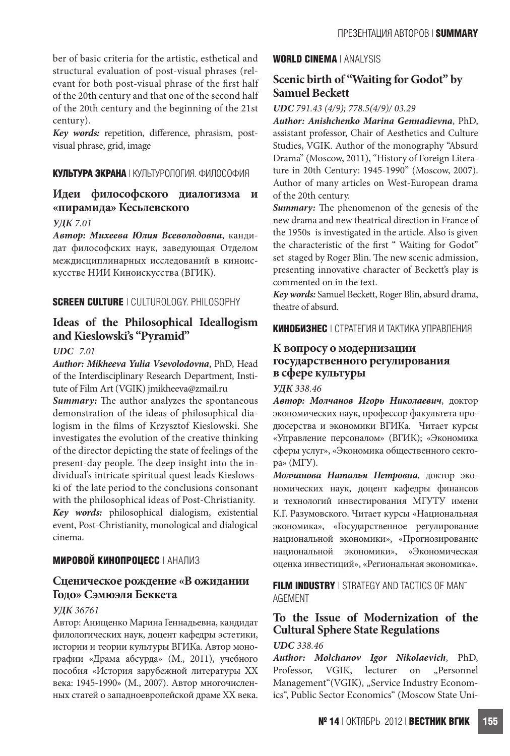ber of basic criteria for the artistic, esthetical and structural evaluation of post-visual phrases (relevant for both post-visual phrase of the first half of the 20th century and that one of the second half of the 20th century and the beginning of the 21st century).

Key words: repetition, difference, phrasism, postvisual phrase, grid, image

## **КУЛЬТУРА ЭКРАНА** | КУЛЬТУРОЛОГИЯ. ФИЛОСОФИЯ

# **Идеи философского диалогизма и «пирамида» Кесьлевского**

#### *УДК 7.01*

*Автор: Михеева Юлия Всеволодовна*, кандидат философских наук, заведующая Отделом междисциплинарных исследований в киноискусстве НИИ Киноискусства (ВГИК).

## **SCREEN CULTURE** | CULTUROLOGY. PHILOSOPHY

# **Ideas of the Philosophical Ideallogism and Kieslowski's "Pyramid"**

## *UDC 7.01*

*Author: Mikheeva Yulia Vsevolodovna*, PhD, Head of the Interdisciplinary Research Department, Institute of Film Art (VGIK) jmikheeva@zmail.ru

*Summary:* The author analyzes the spontaneous demonstration of the ideas of philosophical dialogism in the films of Krzysztof Kieslowski. She investigates the evolution of the creative thinking of the director depicting the state of feelings of the present-day people. The deep insight into the individual's intricate spiritual quest leads Kieslowski of the late period to the conclusions consonant with the philosophical ideas of Post-Christianity. *Key words:* philosophical dialogism, existential

event, Post-Christianity, monological and dialogical cinema.

## **МИРОВОЙ КИНОПРОЦЕСС** | АНАЛИЗ

# **Сценическое рождение «В ожидании Годо» Сэмюэля Беккета**

## *УДК 36761*

Автор: Анищенко Марина Геннадьевна, кандидат филологических наук, доцент кафедры эстетики, истории и теории культуры ВГИКа. Автор монографии «Драма абсурда» (М., 2011), учебного пособия «История зарубежной литературы ХХ века: 1945-1990» (М., 2007). Автор многочисленных статей о западноевропейской драме ХХ века.

#### **WORLD CINEMA** | ANALYSIS

# **Scenic birth of "Waiting for Godot" by Samuel Beckett**

## *UDC 791.43 (4/9); 778.5(4/9)/ 03.29*

*Author: Anishchenko Marina Gennadievna*, PhD, assistant professor, Chair of Aesthetics and Culture Studies, VGIK. Author of the monography "Absurd Drama" (Moscow, 2011), "History of Foreign Literature in 20th Century: 1945-1990" (Moscow, 2007). Author of many articles on West-European drama of the 20th century.

*Summary:* The phenomenon of the genesis of the new drama and new theatrical direction in France of the 1950s is investigated in the article. Also is given the characteristic of the first " Waiting for Godot" set staged by Roger Blin. The new scenic admission, presenting innovative character of Beckett's play is commented on in the text.

*Key words:* Samuel Beckett, Roger Blin, absurd drama, theatre of absurd.

**КИНОБИЗНЕС** | СТРАТЕГИЯ И ТАКТИКА УПРАВЛЕНИЯ

# **К вопросу о модернизации государственного регулирования в сфере культуры**

#### *УДК 338.46*

*Автор: Молчанов Игорь Николаевич*, доктор экономических наук, профессор факультета продюсерства и экономики ВГИКа. Читает курсы «Управление персоналом» (ВГИК); «Экономика сферы услуг», «Экономика общественного сектора» (МГУ).

*Молчанова Наталья Петровна*, доктор экономических наук, доцент кафедры финансов и технологий инвестирования МГУТУ имени К.Г. Разумовского. Читает курсы «Национальная экономика», «Государственное регулирование национальной экономики», «Прогнозирование национальной экономики», «Экономическая оценка инвестиций», «Региональная экономика».

**FILM INDUSTRY** | STRATEGY AND TACTICS OF MAN-AGEMENT

# **To the Issue of Modernization of the Cultural Sphere State Regulations**

#### *UDC 338.46*

*Author: Molchanov Igor Nikolaevich*, PhD, Professor, VGIK, lecturer on "Personnel Management"(VGIK), "Service Industry Economics", Public Sector Economics" (Moscow State Uni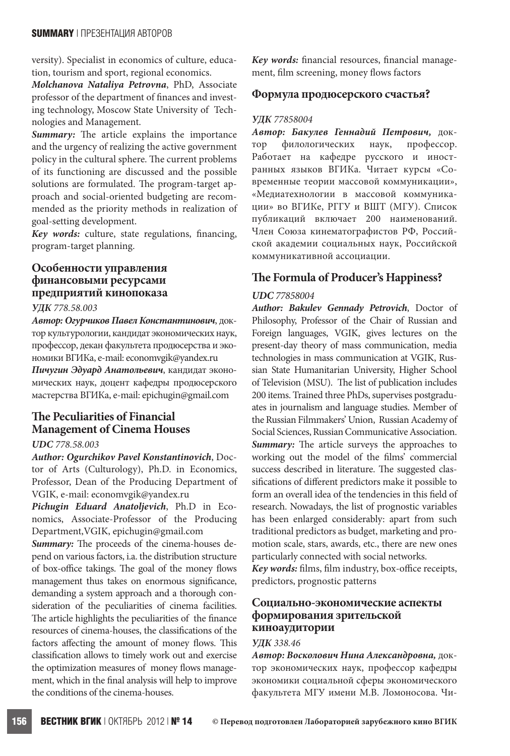versity). Specialist in economics of culture, education, tourism and sport, regional economics.

*Molchanova Nataliya Petrovna*, PhD, Associate professor of the department of finances and investing technology, Moscow State University of Technologies and Management.

*Summary:* The article explains the importance and the urgency of realizing the active government policy in the cultural sphere. The current problems of its functioning are discussed and the possible solutions are formulated. The program-target approach and social-oriented budgeting are recommended as the priority methods in realization of goal-setting development.

*Key words:* culture, state regulations, financing, program-target planning.

# **Особенности управления финансовыми ресурсами предприятий кинопоказа**

#### *УДК 778.58.003*

*Автор: Огурчиков Павел Константинович*, доктор культурологии, кандидат экономических наук, профессор, декан факультета продюсерства и экономики ВГИКа, e-mail: economvgik@yandex.ru

*Пичугин Эдуард Анатольевич*, кандидат экономических наук, доцент кафедры продюсерского мастерства ВГИКа, e-mail: epichugin@gmail.com

# **The Peculiarities of Financial Management of Cinema Houses**

## *UDC 778.58.003*

*Author: Ogurchikov Pavel Konstantinovich*, Doctor of Arts (Culturology), Ph.D. in Economics, Professor, Dean of the Producing Department of VGIK, e-mail: economvgik@yandex.ru

*Pichugin Eduard Anatoljevich*, Ph.D in Economics, Associate-Professor of the Producing Department,VGIK, epichugin@gmail.com

*Summary:* The proceeds of the cinema-houses depend on various factors, i.a. the distribution structure of box-office takings. The goal of the money flows management thus takes on enormous significance, demanding a system approach and a thorough consideration of the peculiarities of cinema facilities. The article highlights the peculiarities of the finance resources of cinema-houses, the classifications of the factors affecting the amount of money flows. This classification allows to timely work out and exercise the optimization measures of money flows management, which in the final analysis will help to improve the conditions of the cinema-houses.

*Key words:* financial resources, financial management, film screening, money flows factors

## **Формула продюсерского счастья?**

#### *УДК 77858004*

*Автор: Бакулев Геннадий Петрович,* доктор филологических наук, профессор. Работает на кафедре русского и иностранных языков ВГИКа. Читает курсы «Современные теории массовой коммуникации», «Медиатехнологии в массовой коммуникации» во ВГИКе, РГГУ и ВШТ (МГУ). Список публикаций включает 200 наименований. Член Союза кинематографистов РФ, Российской академии социальных наук, Российской коммуникативной ассоциации.

# **The Formula of Producer's Happiness?**

#### *UDC 77858004*

*Author: Bakulev Gennady Petrovich*, Doctor of Philosophy, Professor of the Chair of Russian and Foreign languages, VGIK, gives lectures on the present-day theory of mass communication, media technologies in mass communication at VGIK, Russian State Humanitarian University, Higher School of Television (MSU). The list of publication includes 200 items. Trained three PhDs, supervises postgraduates in journalism and language studies. Member of the Russian Filmmakers' Union, Russian Academy of Social Sciences, Russian Communicative Association. **Summary:** The article surveys the approaches to working out the model of the films' commercial success described in literature. The suggested classifications of different predictors make it possible to form an overall idea of the tendencies in this field of research. Nowadays, the list of prognostic variables has been enlarged considerably: apart from such traditional predictors as budget, marketing and promotion scale, stars, awards, etc., there are new ones particularly connected with social networks. *Key words:* films, film industry, box-office receipts,

predictors, prognostic patterns

## **Социально-экономические аспекты формирования зрительской киноаудитории**

#### *УДК 338.46*

*Автор: Восколович Нина Александровна,* доктор экономических наук, профессор кафедры экономики социальной сферы экономического факультета МГУ имени М.В. Ломоносова. Чи